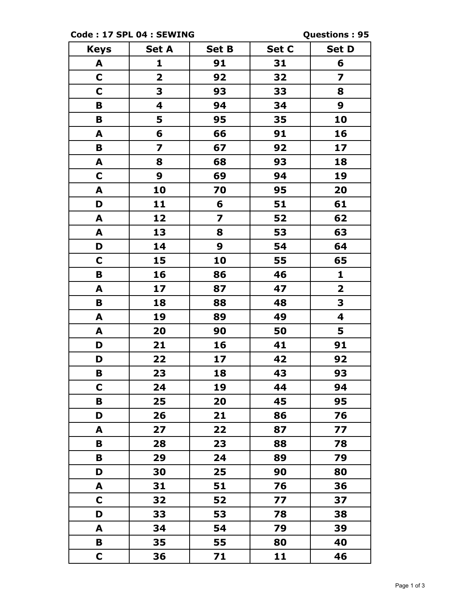**Code : 17 SPL 04 : SEWING Questions : 95**

| <b>Keys</b> | <b>Set A</b>            | <b>Set B</b>            | Set C | <b>Set D</b>            |
|-------------|-------------------------|-------------------------|-------|-------------------------|
| A           | 1                       | 91                      | 31    | 6                       |
| $\mathbf C$ | $\overline{\mathbf{2}}$ | 92                      | 32    | $\overline{\mathbf{z}}$ |
| $\mathbf C$ | 3                       | 93                      | 33    | 8                       |
| B           | 4                       | 94                      | 34    | 9                       |
| B           | 5                       | 95                      | 35    | 10                      |
| A           | 6                       | 66                      | 91    | 16                      |
| B           | $\overline{\mathbf{z}}$ | 67                      | 92    | 17                      |
| A           | 8                       | 68                      | 93    | 18                      |
| $\mathbf C$ | 9                       | 69                      | 94    | 19                      |
| A           | 10                      | 70                      | 95    | 20                      |
| D           | 11                      | 6                       | 51    | 61                      |
| A           | 12                      | $\overline{\mathbf{z}}$ | 52    | 62                      |
| A           | 13                      | 8                       | 53    | 63                      |
| D           | 14                      | 9                       | 54    | 64                      |
| $\mathbf C$ | 15                      | 10                      | 55    | 65                      |
| B           | 16                      | 86                      | 46    | $\mathbf{1}$            |
| A           | 17                      | 87                      | 47    | $\mathbf{2}$            |
| B           | 18                      | 88                      | 48    | 3                       |
| A           | 19                      | 89                      | 49    | 4                       |
| A           | 20                      | 90                      | 50    | 5                       |
| D           | 21                      | 16                      | 41    | 91                      |
| D           | 22                      | 17                      | 42    | 92                      |
| В           | 23                      | 18                      | 43    | 93                      |
| C           | 24                      | 19                      | 44    | 94                      |
| B           | 25                      | 20                      | 45    | 95                      |
| D           | 26                      | 21                      | 86    | 76                      |
| A           | 27                      | 22                      | 87    | 77                      |
| B           | 28                      | 23                      | 88    | 78                      |
| B           | 29                      | 24                      | 89    | 79                      |
| D           | 30                      | 25                      | 90    | 80                      |
| A           | 31                      | 51                      | 76    | 36                      |
| $\mathbf C$ | 32                      | 52                      | 77    | 37                      |
| D           | 33                      | 53                      | 78    | 38                      |
| A           | 34                      | 54                      | 79    | 39                      |
| В           | 35                      | 55                      | 80    | 40                      |
| $\mathbf C$ | 36                      | 71                      | 11    | 46                      |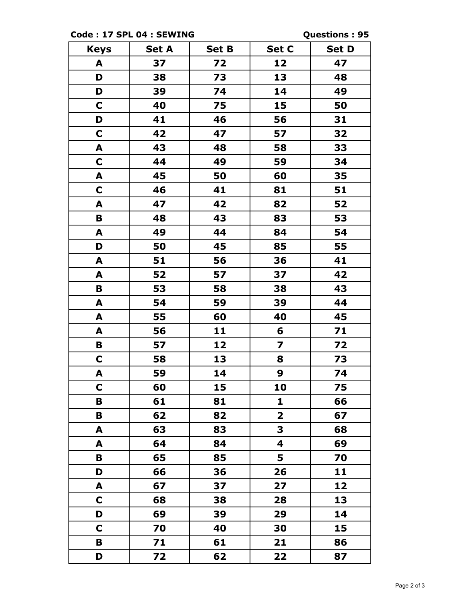**Code : 17 SPL 04 : SEWING Questions : 95**

| <b>Keys</b> | <b>Set A</b> | <b>Set B</b> | Set C                   | <b>Set D</b> |
|-------------|--------------|--------------|-------------------------|--------------|
| A           | 37           | 72           | 12                      | 47           |
| D           | 38           | 73           | 13                      | 48           |
| D           | 39           | 74           | 14                      | 49           |
| $\mathbf C$ | 40           | 75           | 15                      | 50           |
| D           | 41           | 46           | 56                      | 31           |
| $\mathbf C$ | 42           | 47           | 57                      | 32           |
| A           | 43           | 48           | 58                      | 33           |
| $\mathbf C$ | 44           | 49           | 59                      | 34           |
| A           | 45           | 50           | 60                      | 35           |
| $\mathbf C$ | 46           | 41           | 81                      | 51           |
| A           | 47           | 42           | 82                      | 52           |
| B           | 48           | 43           | 83                      | 53           |
| A           | 49           | 44           | 84                      | 54           |
| D           | 50           | 45           | 85                      | 55           |
| A           | 51           | 56           | 36                      | 41           |
| A           | 52           | 57           | 37                      | 42           |
| B           | 53           | 58           | 38                      | 43           |
| A           | 54           | 59           | 39                      | 44           |
| A           | 55           | 60           | 40                      | 45           |
| A           | 56           | 11           | 6                       | 71           |
| B           | 57           | 12           | 7                       | 72           |
| $\mathbf C$ | 58           | 13           | 8                       | 73           |
| A           | 59           | 14           | 9                       | 74           |
| $\mathbf C$ | 60           | 15           | 10                      | 75           |
| B           | 61           | 81           | $\mathbf{1}$            | 66           |
| B           | 62           | 82           | $\overline{\mathbf{2}}$ | 67           |
| A           | 63           | 83           | 3                       | 68           |
| A           | 64           | 84           | 4                       | 69           |
| B           | 65           | 85           | 5                       | 70           |
| D           | 66           | 36           | 26                      | 11           |
| A           | 67           | 37           | 27                      | 12           |
| C           | 68           | 38           | 28                      | 13           |
| D           | 69           | 39           | 29                      | 14           |
| C           | 70           | 40           | 30                      | 15           |
| B           | 71           | 61           | 21                      | 86           |
| D           | 72           | 62           | 22                      | 87           |